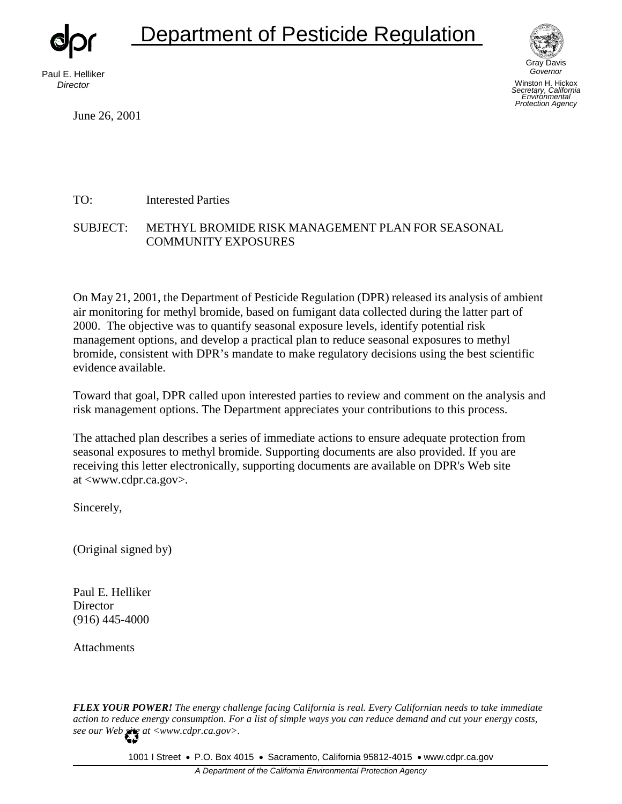# Department of Pesticide Regulation

Paul E. Helliker *Director*

June 26, 2001



*S ecretary, California Environmental*  Winston H. Hickox *Protection Agency*

TO: Interested Parties

#### SUBJECT: METHYL BROMIDE RISK MANAGEMENT PLAN FOR SEASONAL COMMUNITY EXPOSURES

On May 21, 2001, the Department of Pesticide Regulation (DPR) released its analysis of ambient air monitoring for methyl bromide, based on fumigant data collected during the latter part of 2000. The objective was to quantify seasonal exposure levels, identify potential risk management options, and develop a practical plan to reduce seasonal exposures to methyl bromide, consistent with DPR's mandate to make regulatory decisions using the best scientific evidence available.

Toward that goal, DPR called upon interested parties to review and comment on the analysis and risk management options. The Department appreciates your contributions to this process.

The attached plan describes a series of immediate actions to ensure adequate protection from seasonal exposures to methyl bromide. Supporting documents are also provided. If you are receiving this letter electronically, supporting documents are available on DPR's Web site at [<www.cdpr.ca.gov>.](http://www.cdpr.ca.gov/) 

Sincerely,

(Original signed by)

Paul E. Helliker **Director** (916) 445-4000

Attachments

*FLEX YOUR POWER! The energy challenge facing California is real. Every Californian needs to take immediate action to reduce energy consumption. For a list of simple ways you can reduce demand and cut your energy costs, see our Web site a[t <www.cdpr.ca.gov>](http://www.cdpr.ca.gov/).* 

1001 I Street • P.O. Box 4015 • Sacramento, California 95812-4015 • [www.cdpr.ca.gov](http://www.cdpr.ca.gov/)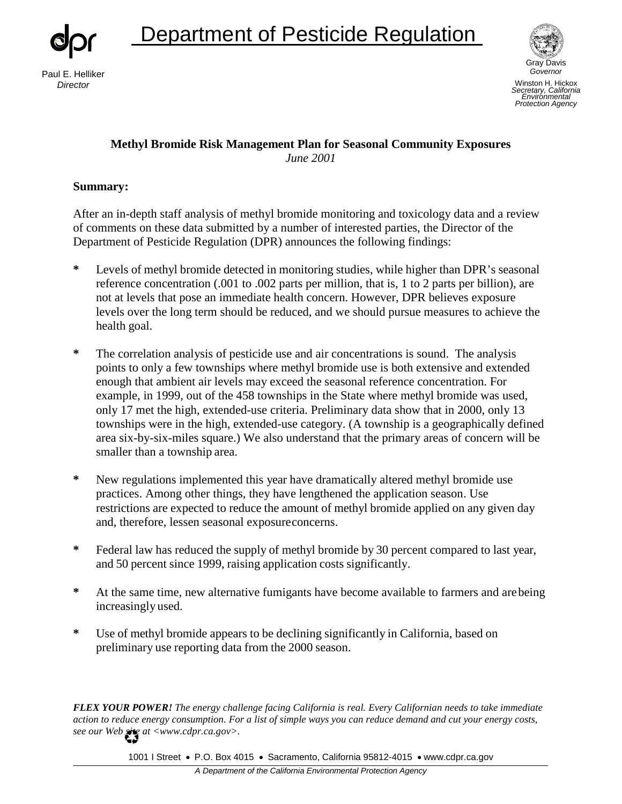

## Department of Pesticide Regulation



*Governor* Winston H. Hickox *Secretary, California Environmental Protection Agency*

## **Methyl Bromide Risk Management Plan for Seasonal Community Exposures**  *June 2001*

#### **Summary:**

After an in-depth staff analysis of methyl bromide monitoring and toxicology data and a review of comments on these data submitted by a number of interested parties, the Director of the Department of Pesticide Regulation (DPR) announces the following findings:

- **\*** Levels of methyl bromide detected in monitoring studies, while higher than DPR's seasonal reference concentration (.001 to .002 parts per million, that is, 1 to 2 parts per billion), are not at levels that pose an immediate health concern. However, DPR believes exposure levels over the long term should be reduced, and we should pursue measures to achieve the health goal.
- **\*** The correlation analysis of pesticide use and air concentrations is sound. The analysis points to only a few townships where methyl bromide use is both extensive and extended enough that ambient air levels may exceed the seasonal reference concentration. For example, in 1999, out of the 458 townships in the State where methyl bromide was used, only 17 met the high, extended-use criteria. Preliminary data show that in 2000, only 13 townships were in the high, extended-use category. (A township is a geographically defined area six-by-six-miles square.) We also understand that the primary areas of concern will be smaller than a township area.
- **\*** New regulations implemented this year have dramatically altered methyl bromide use practices. Among other things, they have lengthened the application season. Use restrictions are expected to reduce the amount of methyl bromide applied on any given day and, therefore, lessen seasonal exposure concerns.
- **\*** Federal law has reduced the supply of methyl bromide by 30 percent compared to last year, and 50 percent since 1999, raising application costs significantly.
- **\*** At the same time, new alternative fumigants have become available to farmers and arebeing increasingly used.
- **\*** Use of methyl bromide appears to be declining significantly in California, based on preliminary use reporting data from the 2000 season.

*FLEX YOUR POWER! The energy challenge facing California is real. Every Californian needs to take immediate action to reduce energy consumption. For a list of simple ways you can reduce demand and cut your energy costs, see our Web site a[t <www.cdpr.ca.gov>](http://www.cdpr.ca.gov/).* 

1001 I Street • P.O. Box 4015 • Sacramento, California 95812-4015 • [www.cdpr.ca.gov](http://www.cdpr.ca.gov/)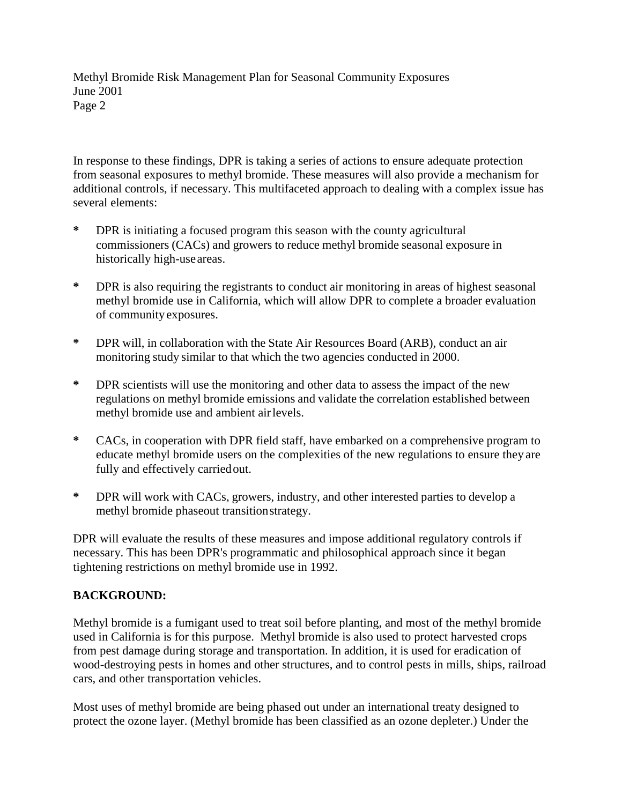In response to these findings, DPR is taking a series of actions to ensure adequate protection from seasonal exposures to methyl bromide. These measures will also provide a mechanism for additional controls, if necessary. This multifaceted approach to dealing with a complex issue has several elements:

- **\*** DPR is initiating a focused program this season with the county agricultural commissioners (CACs) and growers to reduce methyl bromide seasonal exposure in historically high-use areas.
- **\*** DPR is also requiring the registrants to conduct air monitoring in areas of highest seasonal methyl bromide use in California, which will allow DPR to complete a broader evaluation of community exposures.
- **\*** DPR will, in collaboration with the State Air Resources Board (ARB), conduct an air monitoring study similar to that which the two agencies conducted in 2000.
- **\*** DPR scientists will use the monitoring and other data to assess the impact of the new regulations on methyl bromide emissions and validate the correlation established between methyl bromide use and ambient air levels.
- **\*** CACs, in cooperation with DPR field staff, have embarked on a comprehensive program to educate methyl bromide users on the complexities of the new regulations to ensure they are fully and effectively carried out.
- **\*** DPR will work with CACs, growers, industry, and other interested parties to develop a methyl bromide phaseout transition strategy.

DPR will evaluate the results of these measures and impose additional regulatory controls if necessary. This has been DPR's programmatic and philosophical approach since it began tightening restrictions on methyl bromide use in 1992.

## **BACKGROUND:**

Methyl bromide is a fumigant used to treat soil before planting, and most of the methyl bromide used in California is for this purpose. Methyl bromide is also used to protect harvested crops from pest damage during storage and transportation. In addition, it is used for eradication of wood-destroying pests in homes and other structures, and to control pests in mills, ships, railroad cars, and other transportation vehicles.

Most uses of methyl bromide are being phased out under an international treaty designed to protect the ozone layer. (Methyl bromide has been classified as an ozone depleter.) Under the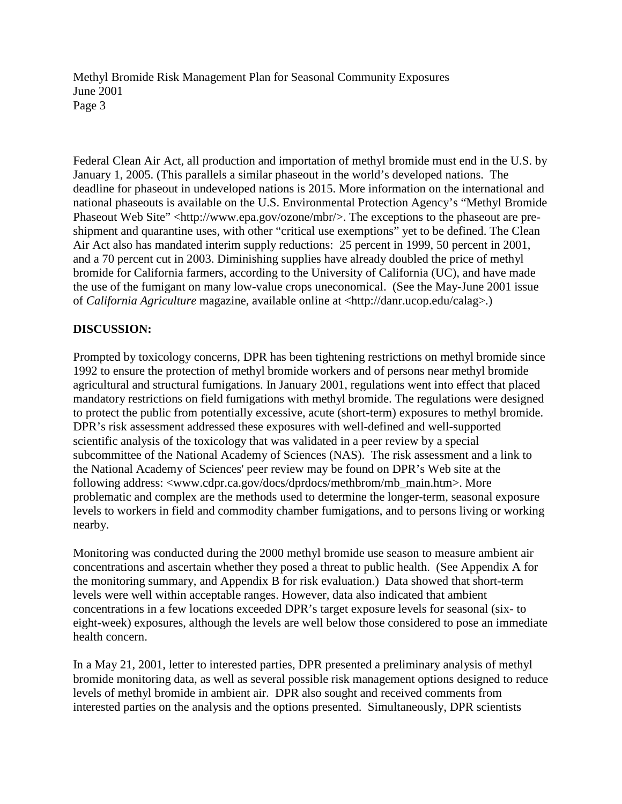Federal Clean Air Act, all production and importation of methyl bromide must end in the U.S. by January 1, 2005. (This parallels a similar phaseout in the world's developed nations. The deadline for phaseout in undeveloped nations is 2015. More information on the international and national phaseouts is available on the U.S. Environmental Protection Agency's "Methyl Bromide Phaseout Web Site" [<http://www.epa.gov/ozone/mbr/>.](http://www.epa.gov/ozone/mbr/) The exceptions to the phaseout are preshipment and quarantine uses, with other "critical use exemptions" yet to be defined. The Clean Air Act also has mandated interim supply reductions: 25 percent in 1999, 50 percent in 2001, and a 70 percent cut in 2003. Diminishing supplies have already doubled the price of methyl bromide for California farmers, according to the University of California (UC), and have made the use of the fumigant on many low-value crops uneconomical. (See the May-June 2001 issue of *California Agriculture* magazine, available online at [<http://danr.ucop.edu/calag>](http://danr.ucop.edu/calag).)

## **DISCUSSION:**

Prompted by toxicology concerns, DPR has been tightening restrictions on methyl bromide since 1992 to ensure the protection of methyl bromide workers and of persons near methyl bromide agricultural and structural fumigations. In January 2001, regulations went into effect that placed mandatory restrictions on field fumigations with methyl bromide. The regulations were designed to protect the public from potentially excessive, acute (short-term) exposures to methyl bromide. DPR's risk assessment addressed these exposures with well-defined and well-supported scientific analysis of the toxicology that was validated in a peer review by a special subcommittee of the National Academy of Sciences (NAS). The risk assessment and a link to the National Academy of Sciences' peer review may be found on DPR's Web site at the following address: [<www.cdpr.ca.gov/docs/dprdocs/methbrom/mb\\_main.htm>.](http://www.cdpr.ca.gov/docs/dprdocs/methbrom/mb_main.htm) More problematic and complex are the methods used to determine the longer-term, seasonal exposure levels to workers in field and commodity chamber fumigations, and to persons living or working nearby.

Monitoring was conducted during the 2000 methyl bromide use season to measure ambient air concentrations and ascertain whether they posed a threat to public health. (See Appendix A for the monitoring summary, and Appendix B for risk evaluation.) Data showed that short-term levels were well within acceptable ranges. However, data also indicated that ambient concentrations in a few locations exceeded DPR's target exposure levels for seasonal (six- to eight-week) exposures, although the levels are well below those considered to pose an immediate health concern.

In a May 21, 2001, letter to interested parties, DPR presented a preliminary analysis of methyl bromide monitoring data, as well as several possible risk management options designed to reduce levels of methyl bromide in ambient air. DPR also sought and received comments from interested parties on the analysis and the options presented. Simultaneously, DPR scientists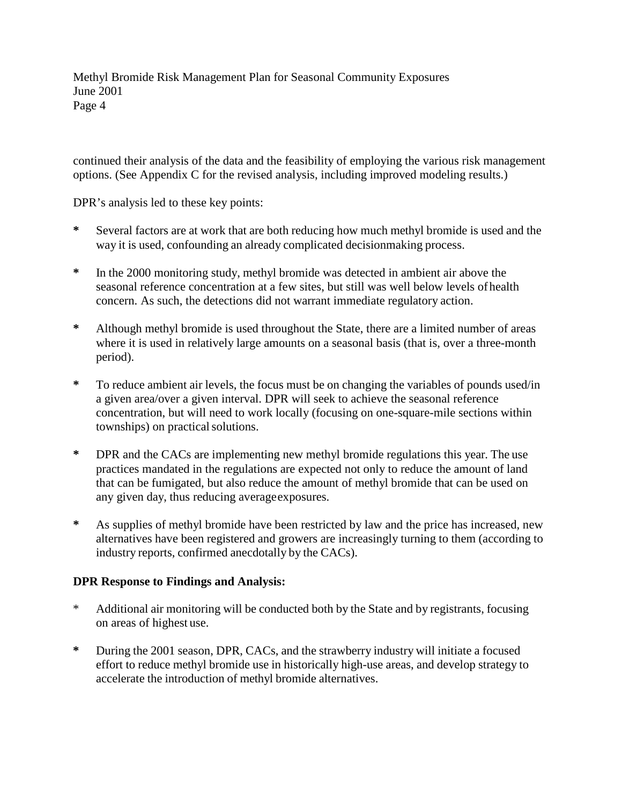continued their analysis of the data and the feasibility of employing the various risk management options. (See Appendix C for the revised analysis, including improved modeling results.)

DPR's analysis led to these key points:

- **\*** Several factors are at work that are both reducing how much methyl bromide is used and the way it is used, confounding an already complicated decisionmaking process.
- **\*** In the 2000 monitoring study, methyl bromide was detected in ambient air above the seasonal reference concentration at a few sites, but still was well below levels of health concern. As such, the detections did not warrant immediate regulatory action.
- **\*** Although methyl bromide is used throughout the State, there are a limited number of areas where it is used in relatively large amounts on a seasonal basis (that is, over a three-month period).
- **\*** To reduce ambient air levels, the focus must be on changing the variables of pounds used/in a given area/over a given interval. DPR will seek to achieve the seasonal reference concentration, but will need to work locally (focusing on one-square-mile sections within townships) on practical solutions.
- **\*** DPR and the CACs are implementing new methyl bromide regulations this year. The use practices mandated in the regulations are expected not only to reduce the amount of land that can be fumigated, but also reduce the amount of methyl bromide that can be used on any given day, thus reducing average exposures.
- **\*** As supplies of methyl bromide have been restricted by law and the price has increased, new alternatives have been registered and growers are increasingly turning to them (according to industry reports, confirmed anecdotally by the CACs).

## **DPR Response to Findings and Analysis:**

- \* Additional air monitoring will be conducted both by the State and by registrants, focusing on areas of highest use.
- **\*** During the 2001 season, DPR, CACs, and the strawberry industry will initiate a focused effort to reduce methyl bromide use in historically high-use areas, and develop strategy to accelerate the introduction of methyl bromide alternatives.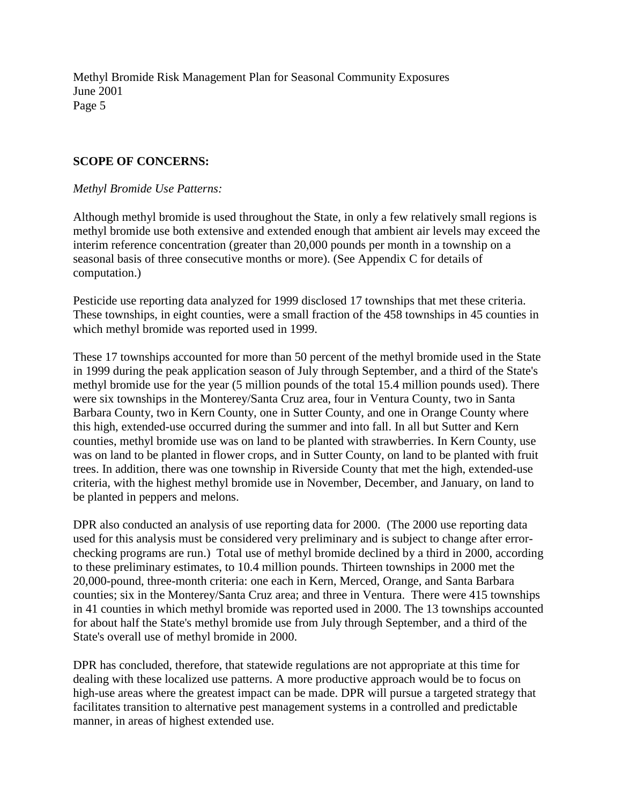#### **SCOPE OF CONCERNS:**

#### *Methyl Bromide Use Patterns:*

Although methyl bromide is used throughout the State, in only a few relatively small regions is methyl bromide use both extensive and extended enough that ambient air levels may exceed the interim reference concentration (greater than 20,000 pounds per month in a township on a seasonal basis of three consecutive months or more). (See Appendix C for details of computation.)

Pesticide use reporting data analyzed for 1999 disclosed 17 townships that met these criteria. These townships, in eight counties, were a small fraction of the 458 townships in 45 counties in which methyl bromide was reported used in 1999.

These 17 townships accounted for more than 50 percent of the methyl bromide used in the State in 1999 during the peak application season of July through September, and a third of the State's methyl bromide use for the year (5 million pounds of the total 15.4 million pounds used). There were six townships in the Monterey/Santa Cruz area, four in Ventura County, two in Santa Barbara County, two in Kern County, one in Sutter County, and one in Orange County where this high, extended-use occurred during the summer and into fall. In all but Sutter and Kern counties, methyl bromide use was on land to be planted with strawberries. In Kern County, use was on land to be planted in flower crops, and in Sutter County, on land to be planted with fruit trees. In addition, there was one township in Riverside County that met the high, extended-use criteria, with the highest methyl bromide use in November, December, and January, on land to be planted in peppers and melons.

DPR also conducted an analysis of use reporting data for 2000. (The 2000 use reporting data used for this analysis must be considered very preliminary and is subject to change after errorchecking programs are run.) Total use of methyl bromide declined by a third in 2000, according to these preliminary estimates, to 10.4 million pounds. Thirteen townships in 2000 met the 20,000-pound, three-month criteria: one each in Kern, Merced, Orange, and Santa Barbara counties; six in the Monterey/Santa Cruz area; and three in Ventura. There were 415 townships in 41 counties in which methyl bromide was reported used in 2000. The 13 townships accounted for about half the State's methyl bromide use from July through September, and a third of the State's overall use of methyl bromide in 2000.

DPR has concluded, therefore, that statewide regulations are not appropriate at this time for dealing with these localized use patterns. A more productive approach would be to focus on high-use areas where the greatest impact can be made. DPR will pursue a targeted strategy that facilitates transition to alternative pest management systems in a controlled and predictable manner, in areas of highest extended use.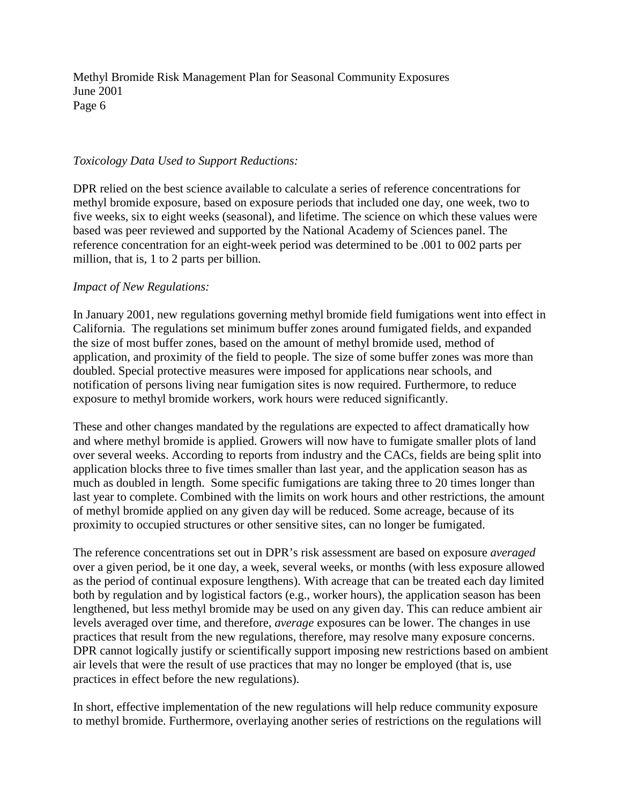#### *Toxicology Data Used to Support Reductions:*

DPR relied on the best science available to calculate a series of reference concentrations for methyl bromide exposure, based on exposure periods that included one day, one week, two to five weeks, six to eight weeks (seasonal), and lifetime. The science on which these values were based was peer reviewed and supported by the National Academy of Sciences panel. The reference concentration for an eight-week period was determined to be .001 to 002 parts per million, that is, 1 to 2 parts per billion.

#### *Impact of New Regulations:*

In January 2001, new regulations governing methyl bromide field fumigations went into effect in California. The regulations set minimum buffer zones around fumigated fields, and expanded the size of most buffer zones, based on the amount of methyl bromide used, method of application, and proximity of the field to people. The size of some buffer zones was more than doubled. Special protective measures were imposed for applications near schools, and notification of persons living near fumigation sites is now required. Furthermore, to reduce exposure to methyl bromide workers, work hours were reduced significantly.

These and other changes mandated by the regulations are expected to affect dramatically how and where methyl bromide is applied. Growers will now have to fumigate smaller plots of land over several weeks. According to reports from industry and the CACs, fields are being split into application blocks three to five times smaller than last year, and the application season has as much as doubled in length. Some specific fumigations are taking three to 20 times longer than last year to complete. Combined with the limits on work hours and other restrictions, the amount of methyl bromide applied on any given day will be reduced. Some acreage, because of its proximity to occupied structures or other sensitive sites, can no longer be fumigated.

The reference concentrations set out in DPR's risk assessment are based on exposure *averaged*  over a given period, be it one day, a week, several weeks, or months (with less exposure allowed as the period of continual exposure lengthens). With acreage that can be treated each day limited both by regulation and by logistical factors (e.g., worker hours), the application season has been lengthened, but less methyl bromide may be used on any given day. This can reduce ambient air levels averaged over time, and therefore, *average* exposures can be lower. The changes in use practices that result from the new regulations, therefore, may resolve many exposure concerns. DPR cannot logically justify or scientifically support imposing new restrictions based on ambient air levels that were the result of use practices that may no longer be employed (that is, use practices in effect before the new regulations).

In short, effective implementation of the new regulations will help reduce community exposure to methyl bromide. Furthermore, overlaying another series of restrictions on the regulations will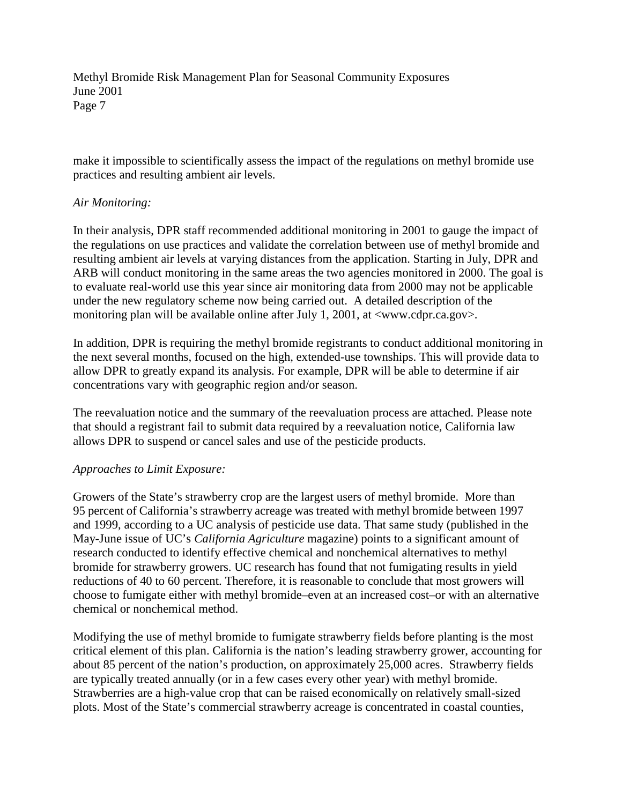make it impossible to scientifically assess the impact of the regulations on methyl bromide use practices and resulting ambient air levels.

#### *Air Monitoring:*

In their analysis, DPR staff recommended additional monitoring in 2001 to gauge the impact of the regulations on use practices and validate the correlation between use of methyl bromide and resulting ambient air levels at varying distances from the application. Starting in July, DPR and ARB will conduct monitoring in the same areas the two agencies monitored in 2000. The goal is to evaluate real-world use this year since air monitoring data from 2000 may not be applicable under the new regulatory scheme now being carried out. A detailed description of the monitoring plan will be available online after July 1, 2001, at  $\langle$ www.cdpr.ca.gov>.

In addition, DPR is requiring the methyl bromide registrants to conduct additional monitoring in the next several months, focused on the high, extended-use townships. This will provide data to allow DPR to greatly expand its analysis. For example, DPR will be able to determine if air concentrations vary with geographic region and/or season.

The reevaluation notice and the summary of the reevaluation process are attached. Please note that should a registrant fail to submit data required by a reevaluation notice, California law allows DPR to suspend or cancel sales and use of the pesticide products.

#### *Approaches to Limit Exposure:*

Growers of the State's strawberry crop are the largest users of methyl bromide. More than 95 percent of California's strawberry acreage was treated with methyl bromide between 1997 and 1999, according to a UC analysis of pesticide use data. That same study (published in the May-June issue of UC's *California Agriculture* magazine) points to a significant amount of research conducted to identify effective chemical and nonchemical alternatives to methyl bromide for strawberry growers. UC research has found that not fumigating results in yield reductions of 40 to 60 percent. Therefore, it is reasonable to conclude that most growers will choose to fumigate either with methyl bromide–even at an increased cost–or with an alternative chemical or nonchemical method.

Modifying the use of methyl bromide to fumigate strawberry fields before planting is the most critical element of this plan. California is the nation's leading strawberry grower, accounting for about 85 percent of the nation's production, on approximately 25,000 acres. Strawberry fields are typically treated annually (or in a few cases every other year) with methyl bromide. Strawberries are a high-value crop that can be raised economically on relatively small-sized plots. Most of the State's commercial strawberry acreage is concentrated in coastal counties,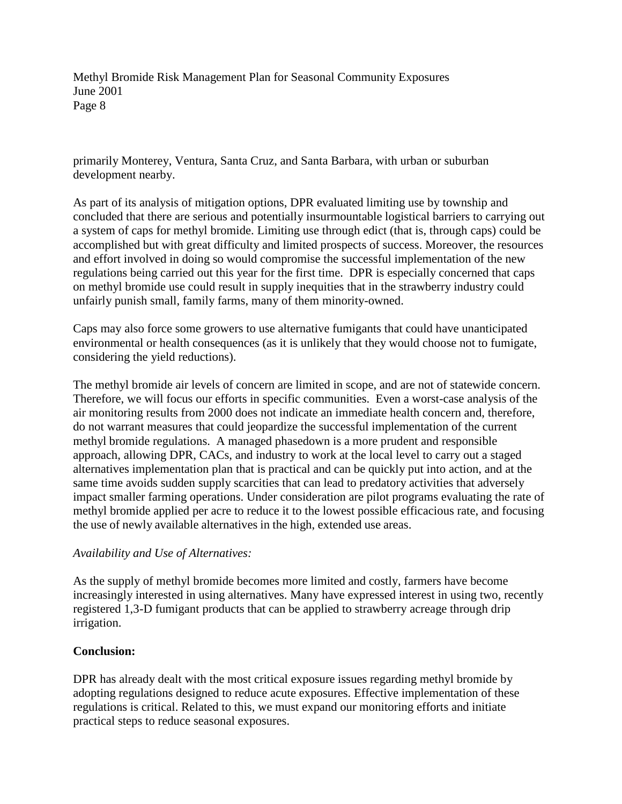primarily Monterey, Ventura, Santa Cruz, and Santa Barbara, with urban or suburban development nearby.

As part of its analysis of mitigation options, DPR evaluated limiting use by township and concluded that there are serious and potentially insurmountable logistical barriers to carrying out a system of caps for methyl bromide. Limiting use through edict (that is, through caps) could be accomplished but with great difficulty and limited prospects of success. Moreover, the resources and effort involved in doing so would compromise the successful implementation of the new regulations being carried out this year for the first time. DPR is especially concerned that caps on methyl bromide use could result in supply inequities that in the strawberry industry could unfairly punish small, family farms, many of them minority-owned.

Caps may also force some growers to use alternative fumigants that could have unanticipated environmental or health consequences (as it is unlikely that they would choose not to fumigate, considering the yield reductions).

The methyl bromide air levels of concern are limited in scope, and are not of statewide concern. Therefore, we will focus our efforts in specific communities. Even a worst-case analysis of the air monitoring results from 2000 does not indicate an immediate health concern and, therefore, do not warrant measures that could jeopardize the successful implementation of the current methyl bromide regulations. A managed phasedown is a more prudent and responsible approach, allowing DPR, CACs, and industry to work at the local level to carry out a staged alternatives implementation plan that is practical and can be quickly put into action, and at the same time avoids sudden supply scarcities that can lead to predatory activities that adversely impact smaller farming operations. Under consideration are pilot programs evaluating the rate of methyl bromide applied per acre to reduce it to the lowest possible efficacious rate, and focusing the use of newly available alternatives in the high, extended use areas.

## *Availability and Use of Alternatives:*

As the supply of methyl bromide becomes more limited and costly, farmers have become increasingly interested in using alternatives. Many have expressed interest in using two, recently registered 1,3-D fumigant products that can be applied to strawberry acreage through drip irrigation.

## **Conclusion:**

DPR has already dealt with the most critical exposure issues regarding methyl bromide by adopting regulations designed to reduce acute exposures. Effective implementation of these regulations is critical. Related to this, we must expand our monitoring efforts and initiate practical steps to reduce seasonal exposures.